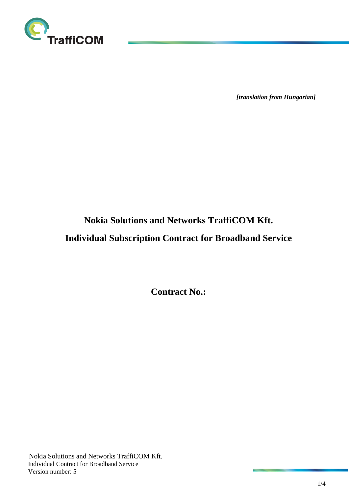

*[translation from Hungarian]*

# **Nokia Solutions and Networks TraffiCOM Kft.**

# **Individual Subscription Contract for Broadband Service**

**Contract No.:**

Nokia Solutions and Networks TraffiCOM Kft. Individual Contract for Broadband Service Version number: 5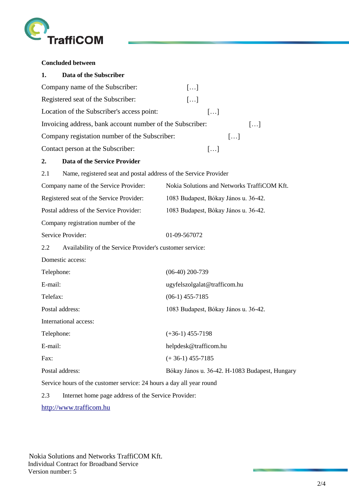

**Concluded between** 

| 1.              | Data of the Subscriber                                               |                                                |
|-----------------|----------------------------------------------------------------------|------------------------------------------------|
|                 | Company name of the Subscriber:                                      | []                                             |
|                 | Registered seat of the Subscriber:                                   | []                                             |
|                 | Location of the Subscriber's access point:                           | []                                             |
|                 | Invoicing address, bank account number of the Subscriber:            | []                                             |
|                 | Company registation number of the Subscriber:                        | []                                             |
|                 | Contact person at the Subscriber:                                    | []                                             |
| 2.              | <b>Data of the Service Provider</b>                                  |                                                |
| 2.1             | Name, registered seat and postal address of the Service Provider     |                                                |
|                 | Company name of the Service Provider:                                | Nokia Solutions and Networks TraffiCOM Kft.    |
|                 | Registered seat of the Service Provider:                             | 1083 Budapest, Bókay János u. 36-42.           |
|                 | Postal address of the Service Provider:                              | 1083 Budapest, Bókay János u. 36-42.           |
|                 | Company registration number of the                                   |                                                |
|                 | Service Provider:                                                    | 01-09-567072                                   |
| 2.2             | Availability of the Service Provider's customer service:             |                                                |
|                 | Domestic access:                                                     |                                                |
| Telephone:      |                                                                      | $(06-40)$ 200-739                              |
| E-mail:         |                                                                      | ugyfelszolgalat@trafficom.hu                   |
| Telefax:        |                                                                      | $(06-1)$ 455-7185                              |
|                 | Postal address:                                                      | 1083 Budapest, Bókay János u. 36-42.           |
|                 | International access:                                                |                                                |
| Telephone:      |                                                                      | $(+36-1)$ 455-7198                             |
| E-mail:         |                                                                      | helpdesk@trafficom.hu                          |
| Fax:            |                                                                      | $(+36-1)$ 455-7185                             |
| Postal address: |                                                                      | Bókay János u. 36-42. H-1083 Budapest, Hungary |
|                 | Service hours of the customer service: 24 hours a day all year round |                                                |
| 2.3             | Internet home page address of the Service Provider:                  |                                                |
|                 |                                                                      |                                                |

[http://www.trafficom.hu](http://www.trafficom.hu/)

Nokia Solutions and Networks TraffiCOM Kft. Individual Contract for Broadband Service Version number: 5

**CONTRACTOR**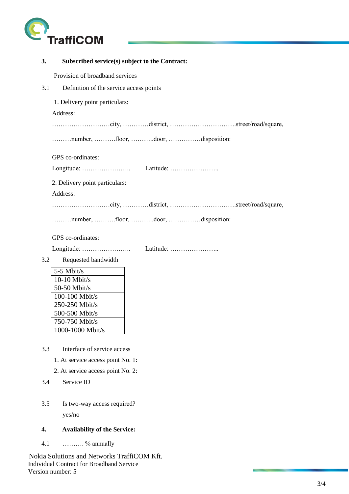

| 3.  | Subscribed service(s) subject to the Contract: |
|-----|------------------------------------------------|
|     | Provision of broadband services                |
| 3.1 | Definition of the service access points        |
|     | 1. Delivery point particulars:                 |
|     | Address:                                       |
|     |                                                |
|     | number, floor, door, disposition:              |
|     | GPS co-ordinates:                              |
|     |                                                |
|     | 2. Delivery point particulars:                 |
|     | Address:                                       |
|     |                                                |
|     | number, floor, door, disposition:              |
|     | GPS co-ordinates:                              |
|     |                                                |
| 3.2 | Requested bandwidth                            |
|     | 5-5 Mbit/s                                     |
|     | $10-10$ Mbit/s                                 |
|     | 50-50 Mbit/s                                   |
|     | $100-100$ Mbit/s<br>250-250 Mbit/s             |
|     | 500-500 Mbit/s                                 |
|     | 750-750 Mbit/s                                 |
|     | 1000-1000 Mbit/s                               |
| 3.3 | Interface of service access                    |
|     | 1. At service access point No. 1:              |
|     | 2. At service access point No. 2:              |
| 3.4 | Service ID                                     |
| 3.5 | Is two-way access required?                    |

yes/no

# **4. Availability of the Service:**

4.1 ………. % annually

Nokia Solutions and Networks TraffiCOM Kft. Individual Contract for Broadband Service Version number: 5